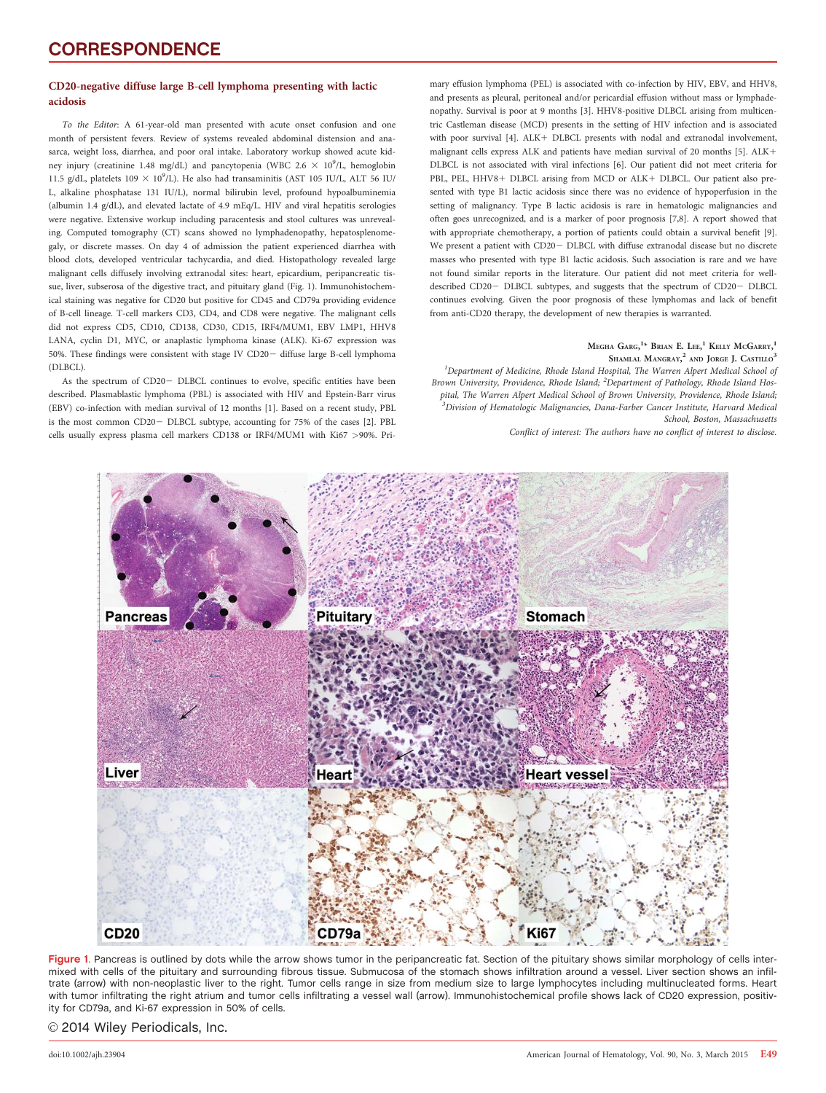### CD20-negative diffuse large B-cell lymphoma presenting with lactic acidosis

To the Editor: A 61-year-old man presented with acute onset confusion and one month of persistent fevers. Review of systems revealed abdominal distension and anasarca, weight loss, diarrhea, and poor oral intake. Laboratory workup showed acute kidney injury (creatinine 1.48 mg/dL) and pancytopenia (WBC  $2.6 \times 10^9$ /L, hemoglobin 11.5 g/dL, platelets  $109 \times 10^9$ /L). He also had transaminitis (AST 105 IU/L, ALT 56 IU/ L, alkaline phosphatase 131 IU/L), normal bilirubin level, profound hypoalbuminemia (albumin 1.4 g/dL), and elevated lactate of 4.9 mEq/L. HIV and viral hepatitis serologies were negative. Extensive workup including paracentesis and stool cultures was unrevealing. Computed tomography (CT) scans showed no lymphadenopathy, hepatosplenomegaly, or discrete masses. On day 4 of admission the patient experienced diarrhea with blood clots, developed ventricular tachycardia, and died. Histopathology revealed large malignant cells diffusely involving extranodal sites: heart, epicardium, peripancreatic tissue, liver, subserosa of the digestive tract, and pituitary gland (Fig. 1). Immunohistochemical staining was negative for CD20 but positive for CD45 and CD79a providing evidence of B-cell lineage. T-cell markers CD3, CD4, and CD8 were negative. The malignant cells did not express CD5, CD10, CD138, CD30, CD15, IRF4/MUM1, EBV LMP1, HHV8 LANA, cyclin D1, MYC, or anaplastic lymphoma kinase (ALK). Ki-67 expression was 50%. These findings were consistent with stage IV  $CD20-$  diffuse large B-cell lymphoma (DLBCL).

As the spectrum of CD20- DLBCL continues to evolve, specific entities have been described. Plasmablastic lymphoma (PBL) is associated with HIV and Epstein-Barr virus (EBV) co-infection with median survival of 12 months [1]. Based on a recent study, PBL is the most common CD20- DLBCL subtype, accounting for 75% of the cases [2]. PBL cells usually express plasma cell markers CD138 or IRF4/MUM1 with Ki67 >90%. Primary effusion lymphoma (PEL) is associated with co-infection by HIV, EBV, and HHV8, and presents as pleural, peritoneal and/or pericardial effusion without mass or lymphadenopathy. Survival is poor at 9 months [3]. HHV8-positive DLBCL arising from multicentric Castleman disease (MCD) presents in the setting of HIV infection and is associated with poor survival [4]. ALK+ DLBCL presents with nodal and extranodal involvement, malignant cells express ALK and patients have median survival of 20 months [5]. ALK+ DLBCL is not associated with viral infections [6]. Our patient did not meet criteria for PBL, PEL, HHV8+ DLBCL arising from MCD or ALK+ DLBCL. Our patient also presented with type B1 lactic acidosis since there was no evidence of hypoperfusion in the setting of malignancy. Type B lactic acidosis is rare in hematologic malignancies and often goes unrecognized, and is a marker of poor prognosis [7,8]. A report showed that with appropriate chemotherapy, a portion of patients could obtain a survival benefit [9]. We present a patient with  $CD20 - DLBCL$  with diffuse extranodal disease but no discrete masses who presented with type B1 lactic acidosis. Such association is rare and we have not found similar reports in the literature. Our patient did not meet criteria for welldescribed CD20- DLBCL subtypes, and suggests that the spectrum of CD20- DLBCL continues evolving. Given the poor prognosis of these lymphomas and lack of benefit from anti-CD20 therapy, the development of new therapies is warranted.

#### Megha Garg,<sup>1</sup>\* Brian E. Lee,<sup>1</sup> Kelly McGarry,<sup>1</sup> SHAMLAL MANGRAY,<sup>2</sup> AND JORGE J. CASTILLO<sup>3</sup>

<sup>1</sup>Department of Medicine, Rhode Island Hospital, The Warren Alpert Medical School of Brown University, Providence, Rhode Island; <sup>2</sup>Department of Pathology, Rhode Island Hospital, The Warren Alpert Medical School of Brown University, Providence, Rhode Island; <sup>3</sup>Division of Hematologic Malignancies, Dana-Farber Cancer Institute, Harvard Medical School, Boston, Massachusetts

Conflict of interest: The authors have no conflict of interest to disclose.



Figure 1. Pancreas is outlined by dots while the arrow shows tumor in the peripancreatic fat. Section of the pituitary shows similar morphology of cells intermixed with cells of the pituitary and surrounding fibrous tissue. Submucosa of the stomach shows infiltration around a vessel. Liver section shows an infiltrate (arrow) with non-neoplastic liver to the right. Tumor cells range in size from medium size to large lymphocytes including multinucleated forms. Heart with tumor infiltrating the right atrium and tumor cells infiltrating a vessel wall (arrow). Immunohistochemical profile shows lack of CD20 expression, positivity for CD79a, and Ki-67 expression in 50% of cells.

# © 2014 Wiley Periodicals, Inc.